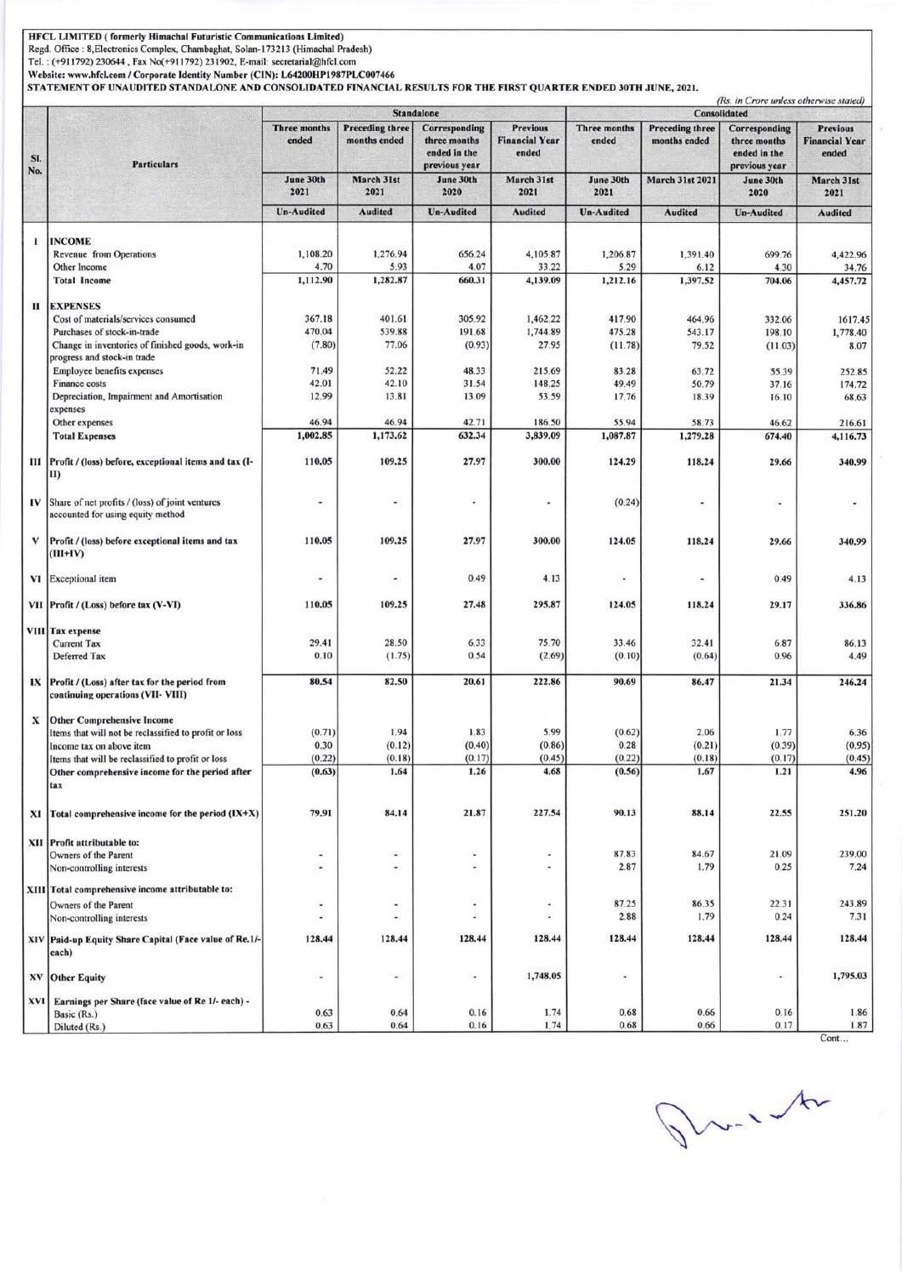#### HFCL LIMITED ( formerly Himachal Futuristic Communications Limited)

Regd. Office : 8,Electronics Complex, Chambaghat, Solan-173213 (Himachal Pradesh)

Tel. : (+9 11 792) 230644 , Fax No(+91 1792) 23 1902, E-mail: secretarial@hfcl.com

Website:www.hfcl.com/ Corporate Identity Number (CIN): L64200HP1987PLC007466 **STATEMENT OF UNAUDITED STANDALONE AND CONSOLIDATED FINANCIAL RESULTS FOR THE FIRST QUARTER ENDED 30TH JUNE, 2021.** 

|            |                                                                                            | (Rs. in Crore unless otherwise stated) |                                        |                                                                |                                                   |                              |                                        |                                                                |                                                   |  |
|------------|--------------------------------------------------------------------------------------------|----------------------------------------|----------------------------------------|----------------------------------------------------------------|---------------------------------------------------|------------------------------|----------------------------------------|----------------------------------------------------------------|---------------------------------------------------|--|
|            |                                                                                            | <b>Standalone</b>                      |                                        |                                                                |                                                   | Consolidated                 |                                        |                                                                |                                                   |  |
| SI.<br>No. | <b>Particulars</b>                                                                         | <b>Three months</b><br>ended           | <b>Preceding three</b><br>months ended | Corresponding<br>three months<br>ended in the<br>previous year | <b>Previous</b><br><b>Financial Year</b><br>ended | <b>Three months</b><br>ended | <b>Preceding three</b><br>months ended | Corresponding<br>three months<br>ended in the<br>previous year | <b>Previous</b><br><b>Financial Year</b><br>ended |  |
|            |                                                                                            | June 30th<br>2021                      | March 31st<br>2021                     | June 30th<br>2020                                              | March 31st<br>2021                                | June 30th<br>2021            | <b>March 31st 2021</b>                 | June 30th<br>2020                                              | March 31st<br>2021                                |  |
|            |                                                                                            | <b>Un-Audited</b>                      | <b>Audited</b>                         | <b>Un-Audited</b>                                              | <b>Audited</b>                                    | <b>Un-Audited</b>            | <b>Audited</b>                         | <b>Un-Audited</b>                                              | <b>Audited</b>                                    |  |
|            | <b>INCOME</b>                                                                              |                                        |                                        |                                                                |                                                   |                              |                                        |                                                                |                                                   |  |
|            | Revenue from Operations                                                                    | 1,108.20                               | 1,276.94                               | 656.24                                                         | 4,105.87                                          | 1,206.87                     | 1,391.40                               | 699.76                                                         | 4,422.96                                          |  |
|            | Other Income                                                                               | 4.70                                   | 5.93                                   | 4.07                                                           | 33.22                                             | 5.29                         | 6.12                                   | 4.30                                                           | 34.76                                             |  |
|            | <b>Total Income</b>                                                                        | 1,112.90                               | 1,282.87                               | 660.31                                                         | 4,139.09                                          | 1,212.16                     | 1,397.52                               | 704.06                                                         | 4,457.72                                          |  |
| п          | <b>EXPENSES</b>                                                                            |                                        |                                        |                                                                |                                                   |                              |                                        |                                                                |                                                   |  |
|            | Cost of materials/services consumed<br>Purchases of stock-in-trade                         | 367.18<br>470.04                       | 401.61<br>539.88                       | 305.92<br>191.68                                               | 1,462.22<br>1,744.89                              | 417.90<br>475.28             | 464.96<br>543.17                       | 332.06<br>198.10                                               | 1617.45<br>1,778.40                               |  |
|            | Change in inventories of finished goods, work-in                                           | (7.80)                                 | 77.06                                  | (0.93)                                                         | 27.95                                             | (11.78)                      | 79.52                                  | (11.03)                                                        | 8.07                                              |  |
|            | progress and stock-in trade                                                                |                                        |                                        |                                                                |                                                   |                              |                                        |                                                                |                                                   |  |
|            | <b>Employee benefits expenses</b><br>Finance costs                                         | 71.49<br>42.01                         | 52.22<br>42.10                         | 48.33<br>31.54                                                 | 215.69<br>148.25                                  | 83.28<br>49.49               | 63.72<br>50.79                         | 55.39<br>37.16                                                 | 252.85<br>174.72                                  |  |
|            | Depreciation, Impairment and Amortisation                                                  | 12.99                                  | 13.81                                  | 13.09                                                          | 53.59                                             | 17.76                        | 18.39                                  | 16.10                                                          | 68.63                                             |  |
|            | expenses                                                                                   |                                        |                                        |                                                                |                                                   |                              |                                        |                                                                |                                                   |  |
|            | Other expenses<br><b>Total Expenses</b>                                                    | 46.94<br>1,002.85                      | 46.94<br>1,173.62                      | 42.71<br>632.34                                                | 186.50<br>3,839.09                                | 55.94<br>1,087.87            | 58.73<br>1,279.28                      | 46.62<br>674.40                                                | 216.61<br>4,116.73                                |  |
|            |                                                                                            |                                        |                                        |                                                                |                                                   |                              |                                        |                                                                |                                                   |  |
| ш          | Profit / (loss) before, exceptional items and tax (I-<br>II)                               | 110.05                                 | 109.25                                 | 27.97                                                          | 300.00                                            | 124.29                       | 118.24                                 | 29.66                                                          | 340.99                                            |  |
| IV         | Share of net profits / (loss) of joint ventures<br>accounted for using equity method       | ٠                                      |                                        |                                                                | $\overline{\phantom{a}}$                          | (0.24)                       |                                        | ٠                                                              |                                                   |  |
|            | Profit / (loss) before exceptional items and tax<br>$(III+IV)$                             | 110.05                                 | 109.25                                 | 27.97                                                          | 300.00                                            | 124.05                       | 118.24                                 | 29.66                                                          | 340.99                                            |  |
|            | VI Exceptional item                                                                        | ٠                                      | ۰                                      | 0.49                                                           | 4.13                                              | $\overline{\phantom{a}}$     | ×                                      | 0.49                                                           | 4.13                                              |  |
|            | VII Profit / (Loss) before tax (V-VI)                                                      | 110.05                                 | 109.25                                 | 27.48                                                          | 295.87                                            | 124.05                       | 118.24                                 | 29.17                                                          | 336.86                                            |  |
|            | VIII Tax expense                                                                           | 29.41                                  | 28.50                                  | 6.33                                                           | 75.70                                             | 33.46                        | 32.41                                  | 6.87                                                           | 86.13                                             |  |
|            | <b>Current Tax</b><br>Deferred Tax                                                         | 0.10                                   | (1.75)                                 | 0.54                                                           | (2.69)                                            | (0.10)                       | (0.64)                                 | 0.96                                                           | 4.49                                              |  |
| ıх         | Profit / (Loss) after tax for the period from<br>continuing operations (VII- VIII)         | 80.54                                  | 82.50                                  | 20.61                                                          | 222.86                                            | 90.69                        | 86.47                                  | 21.34                                                          | 246.24                                            |  |
|            |                                                                                            |                                        |                                        |                                                                |                                                   |                              |                                        |                                                                |                                                   |  |
| x          | <b>Other Comprehensive Income</b><br>Items that will not be reclassified to profit or loss | (0.71)                                 | 1.94                                   | 1.83                                                           | 5.99                                              | (0.62)                       | 2.06                                   | 1.77                                                           | 6.36                                              |  |
|            | Income tax on above item                                                                   | 0.30                                   | (0.12)                                 | (0.40)                                                         | (0.86)                                            | 0.28                         | (0.21)                                 | (0.39)                                                         | (0.95)                                            |  |
|            | Items that will be reclassified to profit or loss                                          | (0.22)                                 | (0.18)                                 | (0.17)                                                         | (0.45)                                            | (0.22)                       | (0.18)                                 | (0.17)                                                         | (0.45)                                            |  |
|            | Other comprehensive income for the period after<br>tax                                     | (0.63)                                 | 1.64                                   | 1.26                                                           | 4.68                                              | (0.56)                       | 1,67                                   | 1.21                                                           | 4.96                                              |  |
| XI         | Total comprehensive income for the period (IX+X)                                           | 79.91                                  | 84.14                                  | 21.87                                                          | 227.54                                            | 90.13                        | 88.14                                  | 22.55                                                          | 251.20                                            |  |
|            | XII Profit attributable to:                                                                |                                        |                                        |                                                                |                                                   |                              |                                        |                                                                |                                                   |  |
|            | Owners of the Parent                                                                       | $\omega$                               | ٠<br>٠                                 | $\overline{\phantom{a}}$                                       | ٠<br>μ                                            | 87.83<br>2.87                | 84.67<br>1.79                          | 21.09<br>0.25                                                  | 239.00                                            |  |
|            | Non-controlling interests                                                                  | ۰                                      |                                        |                                                                |                                                   |                              |                                        |                                                                | 7.24                                              |  |
|            | XIII Total comprehensive income attributable to:                                           |                                        |                                        |                                                                |                                                   |                              |                                        |                                                                |                                                   |  |
|            | Owners of the Parent<br>Non-controlling interests                                          | ۰<br>$\sim$                            | ٠<br>$\ddot{}$                         |                                                                | ٠<br>¥                                            | 87.25<br>2.88                | 86.35<br>1.79                          | 22.31<br>0.24                                                  | 243.89<br>7.31                                    |  |
|            | XIV Paid-up Equity Share Capital (Face value of Re.1/-<br>each)                            | 128.44                                 | 128.44                                 | 128.44                                                         | 128.44                                            | 128.44                       | 128.44                                 | 128.44                                                         | 128.44                                            |  |
|            | <b>XV</b> Other Equity                                                                     | ×                                      | ٠                                      | $\bar{\phantom{a}}$                                            | 1,748.05                                          |                              |                                        | ×                                                              | 1,795.03                                          |  |
| XVI        | Earnings per Share (face value of Re 1/- each) -                                           |                                        |                                        |                                                                |                                                   |                              |                                        |                                                                |                                                   |  |
|            | Basic (Rs.)<br>Diluted (Rs.)                                                               | 0.63<br>0.63                           | 0.64<br>0.64                           | 0.16<br>0.16                                                   | 1.74<br>1.74                                      | 0.68<br>0.68                 | 0.66<br>0.66                           | 0.16<br>0.17                                                   | 1.86<br>1.87                                      |  |

Cont...

Droit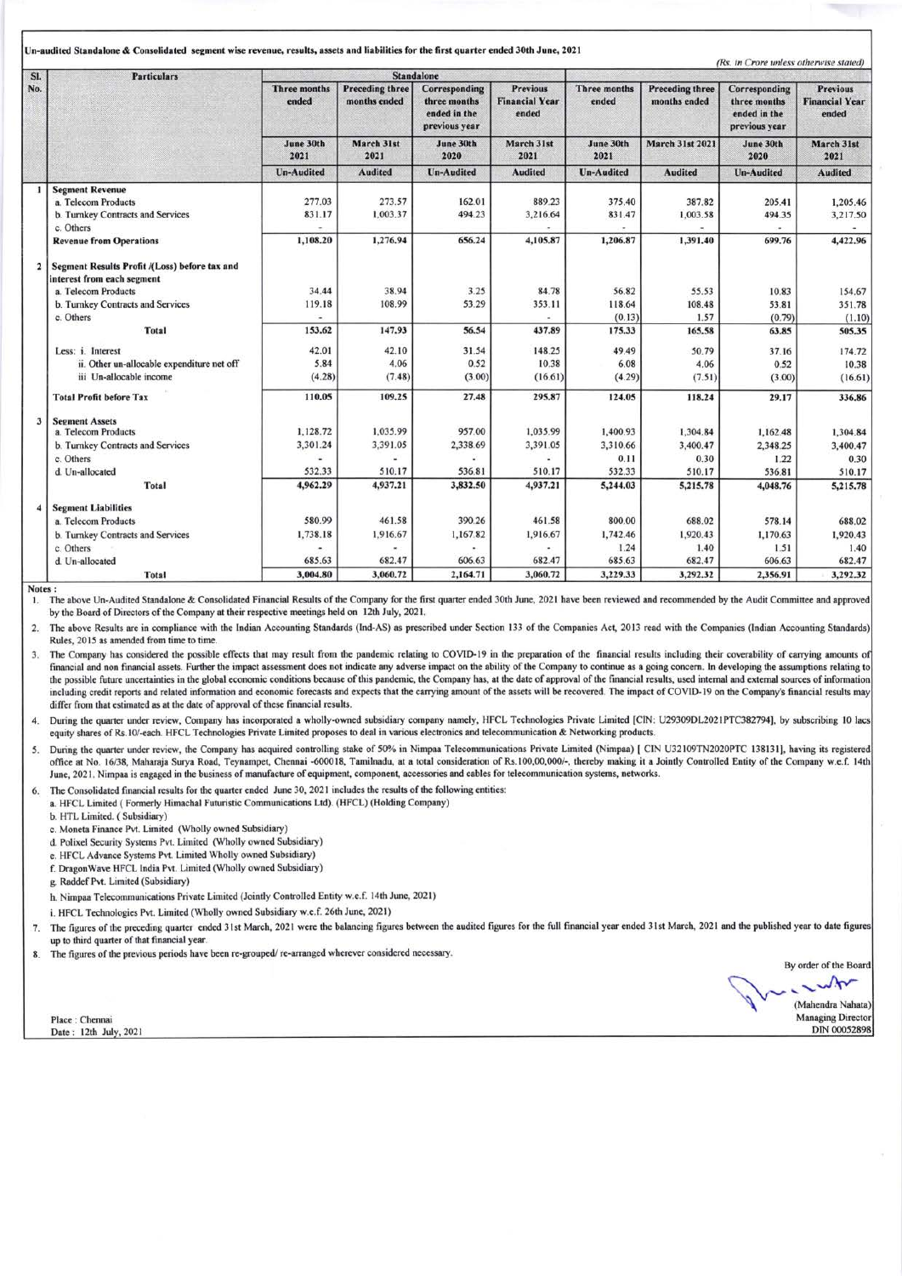**Un-audited Standalone & Consolidated segment wise revenue, results, assets and liabilities for the first quarter ended 30th June, 2021** 

*(Rs. in Crore unless othenvise stated)* 

| SI.          | <b>Particulars</b>                            | <b>Standalone</b>     |                                        |                                                                |                                                   |                              |                                        |                                                                |                                                   |
|--------------|-----------------------------------------------|-----------------------|----------------------------------------|----------------------------------------------------------------|---------------------------------------------------|------------------------------|----------------------------------------|----------------------------------------------------------------|---------------------------------------------------|
| No.          |                                               | Three months<br>ended | <b>Preceding three</b><br>months ended | Corresponding<br>three months<br>ended in the<br>previous year | <b>Previous</b><br><b>Financial Year</b><br>ended | <b>Three months</b><br>ended | <b>Preceding three</b><br>months ended | Corresponding<br>three months<br>ended in the<br>previous year | <b>Previous</b><br><b>Financial Year</b><br>ended |
|              |                                               | June 30th<br>2021     | March 31st<br>2021                     | June 30th<br>2020                                              | March 31st<br>2021                                | June 30th<br>2021            | <b>March 31st 2021</b>                 | June 30th<br>2020                                              | March 31st<br>2021                                |
|              |                                               | <b>Un-Audited</b>     | <b>Audited</b>                         | Un-Audited                                                     | <b>Audited</b>                                    | <b>Un-Audited</b>            | <b>Audited</b>                         | <b>Un-Audited</b>                                              | <b>Audited</b>                                    |
|              | <b>Segment Revenue</b>                        |                       |                                        |                                                                |                                                   |                              |                                        |                                                                |                                                   |
|              | a. Telecom Products                           | 277.03                | 273.57                                 | 162.01                                                         | 889.23                                            | 375.40                       | 387.82                                 | 205.41                                                         | 1,205.46                                          |
|              | b. Turnkey Contracts and Services             | 831.17                | 1,003.37                               | 494.23                                                         | 3,216.64                                          | 831.47                       | 1,003.58                               | 494.35                                                         | 3,217.50                                          |
|              | c. Others                                     |                       |                                        |                                                                |                                                   |                              |                                        |                                                                |                                                   |
|              | <b>Revenue from Operations</b>                | 1,108.20              | 1,276.94                               | 656.24                                                         | 4,105.87                                          | 1,206.87                     | 1,391.40                               | 699.76                                                         | 4,422.96                                          |
| $\mathbf{2}$ | Segment Results Profit /(Loss) before tax and |                       |                                        |                                                                |                                                   |                              |                                        |                                                                |                                                   |
|              | interest from each segment                    |                       |                                        |                                                                |                                                   |                              |                                        |                                                                |                                                   |
|              | a. Telecom Products                           | 34.44                 | 38.94                                  | 3.25                                                           | 84.78                                             | 56.82                        | 55.53                                  | 10.83                                                          | 154.67                                            |
|              | b. Turnkey Contracts and Services             | 119.18                | 108.99                                 | 53.29                                                          | 353.11                                            | 118.64                       | 108.48                                 | 53.81                                                          | 351.78                                            |
|              | c. Others                                     |                       |                                        |                                                                |                                                   | (0.13)                       | 1.57                                   | (0.79)                                                         | (1.10)                                            |
|              | <b>Total</b>                                  | 153.62                | 147.93                                 | 56.54                                                          | 437.89                                            | 175.33                       | 165.58                                 | 63.85                                                          | 505.35                                            |
|              | Less: i. Interest                             | 42.01                 | 42.10                                  | 31.54                                                          | 148.25                                            | 49.49                        | 50.79                                  | 37.16                                                          | 174.72                                            |
|              | ii. Other un-allocable expenditure net off    | 5.84                  | 4.06                                   | 0.52                                                           | 10.38                                             | 6.08                         | 4.06                                   | 0.52                                                           | 10.38                                             |
|              | iii Un-allocable income                       | (4.28)                | (7.48)                                 | (3.00)                                                         | (16.61)                                           | (4.29)                       | (7.51)                                 | (3.00)                                                         | (16.61)                                           |
|              | <b>Total Profit before Tax</b>                | 110.05                | 109.25                                 | 27.48                                                          | 295.87                                            | 124.05                       | 118.24                                 | 29.17                                                          | 336.86                                            |
| 3            | <b>Segment Assets</b>                         |                       |                                        |                                                                |                                                   |                              |                                        |                                                                |                                                   |
|              | a. Telecom Products                           | 1,128.72              | 1,035.99                               | 957.00                                                         | 1,035.99                                          | 1,400.93                     | 1,304.84                               | 1,162.48                                                       | 1,304.84                                          |
|              | b. Turnkey Contracts and Services             | 3,301.24              | 3,391.05                               | 2,338.69                                                       | 3,391.05                                          | 3,310.66                     | 3,400.47                               | 2,348.25                                                       | 3,400.47                                          |
|              | c. Others                                     |                       |                                        |                                                                |                                                   | 0.11                         | 0.30                                   | 1.22                                                           | 0.30                                              |
|              | d. Un-allocated                               | 532.33                | 510.17                                 | 536.81                                                         | 510.17                                            | 532.33                       | 510.17                                 | 536.81                                                         | 510.17                                            |
|              | <b>Total</b>                                  | 4,962.29              | 4,937.21                               | 3,832.50                                                       | 4,937.21                                          | 5,244.03                     | 5,215.78                               | 4,048.76                                                       | 5,215.78                                          |
|              | <b>Segment Liabilities</b>                    |                       |                                        |                                                                |                                                   |                              |                                        |                                                                |                                                   |
|              | a. Telecom Products                           | 580.99                | 461.58                                 | 390.26                                                         | 461.58                                            | 800.00                       | 688.02                                 | 578.14                                                         | 688.02                                            |
|              | b. Turnkey Contracts and Services             | 1,738.18              | 1,916.67                               | 1,167.82                                                       | 1,916.67                                          | 1,742.46                     | 1,920.43                               | 1,170.63                                                       | 1,920.43                                          |
|              | c. Others                                     |                       |                                        |                                                                |                                                   | 1.24                         | 1.40                                   | 1.51                                                           | 1.40                                              |
|              | d. Un-allocated                               | 685.63                | 682.47                                 | 606.63                                                         | 682.47                                            | 685.63                       | 682.47                                 | 606.63                                                         | 682.47                                            |
|              | <b>Total</b>                                  | 3,004.80              | 3,060.72                               | 2,164.71                                                       | 3,060.72                                          | 3,229.33                     | 3,292.32                               | 2,356.91                                                       | 3,292.32                                          |

**Notes:** 

The above Un-Audited Standalone & Consolidated Financial Results of the Company for the first quarter ended 30th June, 2021 have been reviewed and recommended by the Audit Committee and approved by the Board of Directors of the Company at their respective meetings held on 12th July, 2021.

2. The above Results are in compliance with the Indian Accounting Standards (Ind-AS) as prescribed under Section 133 of the Companies Act, 2013 read with the Companies (Indian Accounting Standards) Rules, 2015 as amended from time to time.

3. The Company has considered the possible effects that may result from the pandemic relating to COVID-19 in the preparation of the financial results including their coverability of carrying amounts of financial and non financial assets. Furlher lhe impact assessment does not indicate any adverse impact on lhe ability of the Company to continue as a going concern. In developing lhe assumptions relating to the possible future uncertainties in the global economic conditions because of this pandemic, the Company has, at the date of approval of the financial results, used internal and external sources of information including credit reports and related information and economic forecasts and expects that the carrying amount of the assets will be recovered. The impact of COVID-19 on the Company's financial results may differ from that estimated as at the date of approval of these financial results.

4. During lhe quarter under review, Company has incorporated a wholly-owned subsidiary company namely, HFCL Technologies Privale Limited [CIN: U29309DL2021PTC382794), by subscribing IO lacs equity shares of Rs.10/-each. HFCL Technologies Private Limited proposes to deal in various electronics and telecommunication & Networking products

*5.* During the quarter under review, the Company has acquired controlling stake of 50'% in Nirnpaa Telecommunications Private Limited (Nimpaa) [ CIN U32109TN2020PTC 138131), having its registered office at No. 16/38, Maharaja Surya Road, Teynampet, Chennai -600018, Tamilnadu, at a total consideration of Rs.100,00,000/-, thereby making it a Jointly Controlled Entity of the Company w.e.f. 14th June, 2021. Nimpaa is engaged in lhe business of manufacture of equipment, component, accessories and cables for telecommunication systems, networks.

6. The Consolidated financial results for the quarter ended June 30, 2021 includes the results of the following entities:

a. HFCL Limited ( Formerly Himachal Futuristic Communications Ltd). (HFCL) (Holding Company)

b. HTL Limited. ( Subsidiary)

c. Moneta Finance Pvt. Limited (Wholly owned Subsidiary)

d. Polixel Security Systems Pvt. Limited (Wholly owned Subsidiary)

e. HFCL Advance Systems Pvt. Limited Wholly owned Subsidiary)

f. Dragon Wave HFCL India Pvt. Limited (Wholly owned Subsidiary)

g. Raddef Pvt. Limited (Subsidiary)

h. Nimpaa Telecommunications Private Limited (Jointly Controlled Entity w.e.f. 14th June, 2021)

i. HFCL Technologies Pvt. Limited (Wholly owned Subsidiary w.e.f. 26th June, 2021)

7. The figures of the preceding quarter ended 31st March, 2021 were lhe balancing figures between the audited figures for the full financial year ended 31st March, 2021 and lhe published year to date figures up to third quarter of that financial year.

8. The figures of the previous periods have been re-grouped/ re-arranged wherever considered necessary.

By order of the Board  $\sim$ (Mahendra Nahata)

Managing Director DIN 00052898

Place : Chennai Date : 121h July, 2021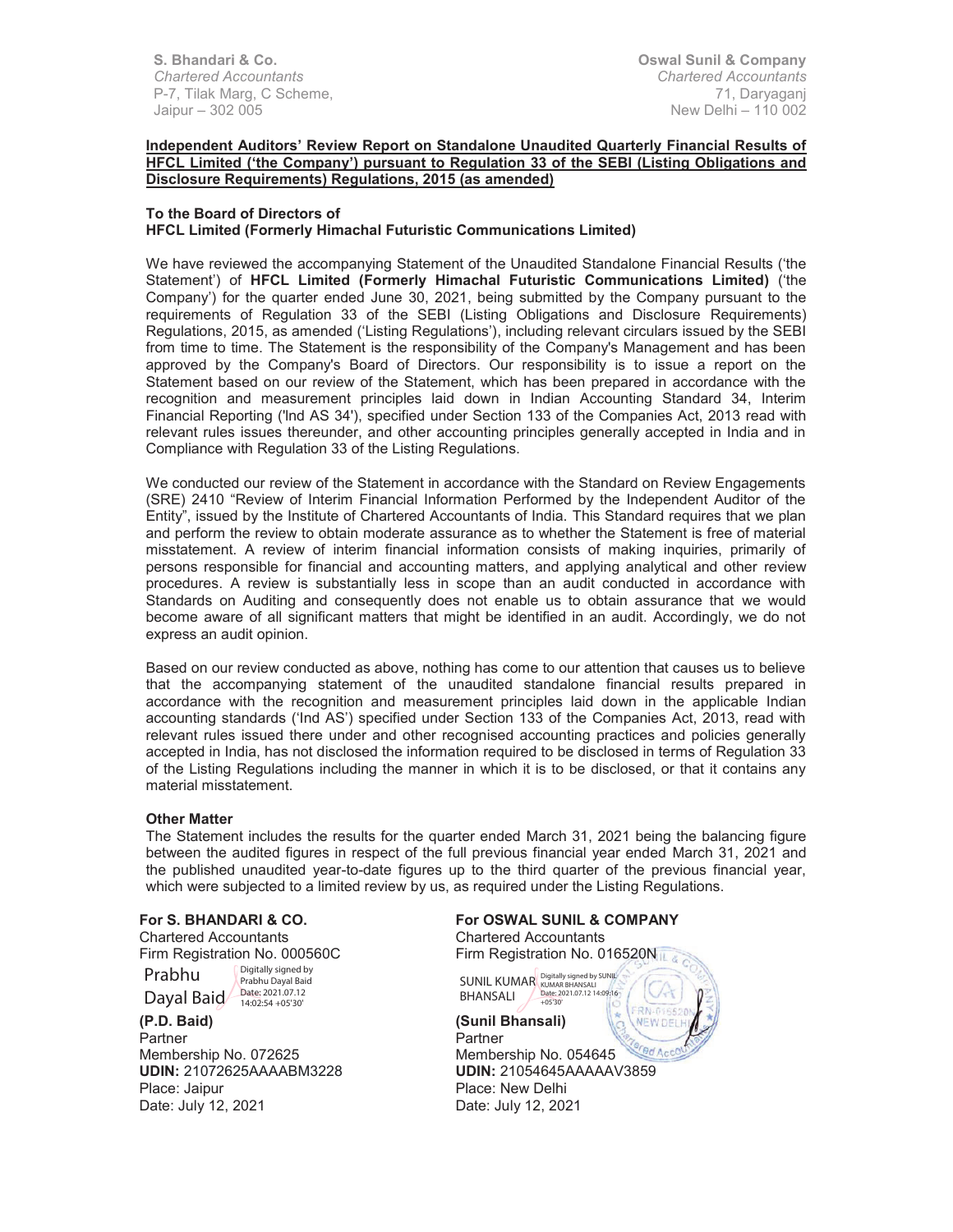**S. Bhandari & Co.**  *Chartered Accountants* P-7, Tilak Marg, C Scheme, Jaipur – 302 005

**Oswal Sunil & Company**  *Chartered Accountants*  71, Daryaganj New Delhi – 110 002

# **Independent Auditors' Review Report on Standalone Unaudited Quarterly Financial Results of HFCL Limited ('the Company') pursuant to Regulation 33 of the SEBI (Listing Obligations and Disclosure Requirements) Regulations, 2015 (as amended)**

#### **To the Board of Directors of**

#### **HFCL Limited (Formerly Himachal Futuristic Communications Limited)**

We have reviewed the accompanying Statement of the Unaudited Standalone Financial Results ('the Statement') of **HFCL Limited (Formerly Himachal Futuristic Communications Limited)** ('the Company') for the quarter ended June 30, 2021, being submitted by the Company pursuant to the requirements of Regulation 33 of the SEBI (Listing Obligations and Disclosure Requirements) Regulations, 2015, as amended ('Listing Regulations'), including relevant circulars issued by the SEBI from time to time. The Statement is the responsibility of the Company's Management and has been approved by the Company's Board of Directors. Our responsibility is to issue a report on the Statement based on our review of the Statement, which has been prepared in accordance with the recognition and measurement principles laid down in Indian Accounting Standard 34, Interim Financial Reporting ('lnd AS 34'), specified under Section 133 of the Companies Act, 2013 read with relevant rules issues thereunder, and other accounting principles generally accepted in India and in Compliance with Regulation 33 of the Listing Regulations.

We conducted our review of the Statement in accordance with the Standard on Review Engagements (SRE) 2410 "Review of Interim Financial Information Performed by the Independent Auditor of the Entity", issued by the Institute of Chartered Accountants of India. This Standard requires that we plan and perform the review to obtain moderate assurance as to whether the Statement is free of material misstatement. A review of interim financial information consists of making inquiries, primarily of persons responsible for financial and accounting matters, and applying analytical and other review procedures. A review is substantially less in scope than an audit conducted in accordance with Standards on Auditing and consequently does not enable us to obtain assurance that we would become aware of all significant matters that might be identified in an audit. Accordingly, we do not express an audit opinion.

Based on our review conducted as above, nothing has come to our attention that causes us to believe that the accompanying statement of the unaudited standalone financial results prepared in accordance with the recognition and measurement principles laid down in the applicable Indian accounting standards ('Ind AS') specified under Section 133 of the Companies Act, 2013, read with relevant rules issued there under and other recognised accounting practices and policies generally accepted in India, has not disclosed the information required to be disclosed in terms of Regulation 33 of the Listing Regulations including the manner in which it is to be disclosed, or that it contains any material misstatement.

#### **Other Matter**

The Statement includes the results for the quarter ended March 31, 2021 being the balancing figure between the audited figures in respect of the full previous financial year ended March 31, 2021 and the published unaudited year-to-date figures up to the third quarter of the previous financial year, which were subjected to a limited review by us, as required under the Listing Regulations.

# **For S. BHANDARI & CO.**

Chartered Accountants Firm Registration No. 000560C Digitally signed by

Prabhu Dayal Baid Prabhu Dayal Baid Date: 2021.07.12 14:02:54 +05'30'

# **(P.D. Baid)**

Partner Membership No. 072625 **UDIN:** 21072625AAAABM3228 Place: Jaipur Date: July 12, 2021

**For OSWAL SUNIL & COMPANY**  Chartered Accountants Firm Registration No. 016520N

SUNIL KUMAR Digitally signed by SUNIL BHANSALI Date: 2021.07.12 14:09:16 +05'30'

**(Sunil Bhansali) Partner** Membership No. 054645 **UDIN:** 21054645AAAAAV3859 Place: New Delhi Date: July 12, 2021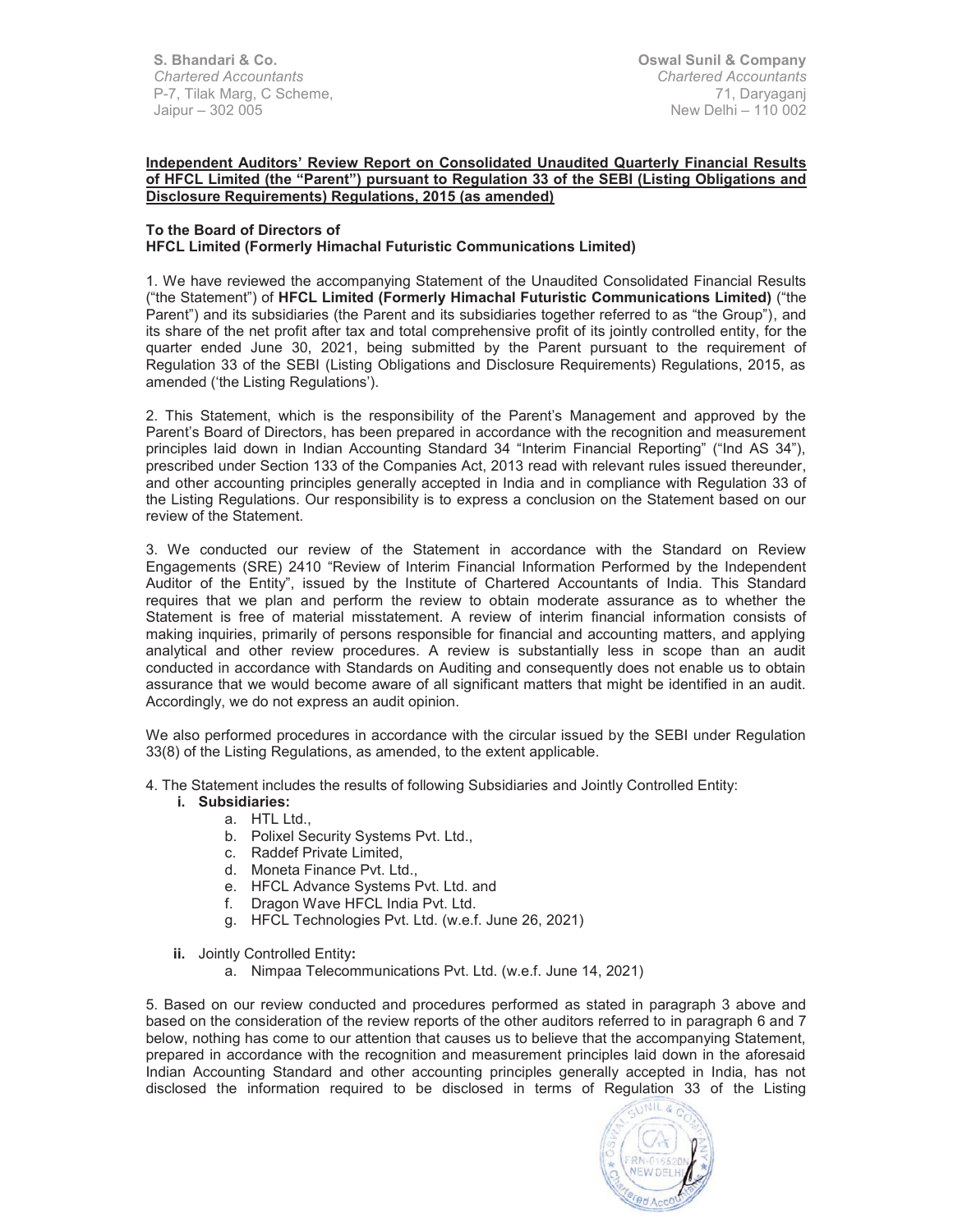**S. Bhandari & Co.**  *Chartered Accountants* P-7, Tilak Marg, C Scheme, Jaipur – 302 005

**Oswal Sunil & Company**  *Chartered Accountants*  71, Daryaganj New Delhi – 110 002

#### **Independent Auditors' Review Report on Consolidated Unaudited Quarterly Financial Results of HFCL Limited (the "Parent") pursuant to Regulation 33 of the SEBI (Listing Obligations and Disclosure Requirements) Regulations, 2015 (as amended)**

## **To the Board of Directors of**

**HFCL Limited (Formerly Himachal Futuristic Communications Limited)** 

1. We have reviewed the accompanying Statement of the Unaudited Consolidated Financial Results ("the Statement") of **HFCL Limited (Formerly Himachal Futuristic Communications Limited)** ("the Parent") and its subsidiaries (the Parent and its subsidiaries together referred to as "the Group"), and its share of the net profit after tax and total comprehensive profit of its jointly controlled entity, for the quarter ended June 30, 2021, being submitted by the Parent pursuant to the requirement of Regulation 33 of the SEBI (Listing Obligations and Disclosure Requirements) Regulations, 2015, as amended ('the Listing Regulations').

2. This Statement, which is the responsibility of the Parent's Management and approved by the Parent's Board of Directors, has been prepared in accordance with the recognition and measurement principles laid down in Indian Accounting Standard 34 "Interim Financial Reporting" ("Ind AS 34"), prescribed under Section 133 of the Companies Act, 2013 read with relevant rules issued thereunder, and other accounting principles generally accepted in India and in compliance with Regulation 33 of the Listing Regulations. Our responsibility is to express a conclusion on the Statement based on our review of the Statement.

3. We conducted our review of the Statement in accordance with the Standard on Review Engagements (SRE) 2410 "Review of Interim Financial Information Performed by the Independent Auditor of the Entity", issued by the Institute of Chartered Accountants of India. This Standard requires that we plan and perform the review to obtain moderate assurance as to whether the Statement is free of material misstatement. A review of interim financial information consists of making inquiries, primarily of persons responsible for financial and accounting matters, and applying analytical and other review procedures. A review is substantially less in scope than an audit conducted in accordance with Standards on Auditing and consequently does not enable us to obtain assurance that we would become aware of all significant matters that might be identified in an audit. Accordingly, we do not express an audit opinion.

We also performed procedures in accordance with the circular issued by the SEBI under Regulation 33(8) of the Listing Regulations, as amended, to the extent applicable.

- 4. The Statement includes the results of following Subsidiaries and Jointly Controlled Entity:
	- **i. Subsidiaries:** 
		- a. HTL Ltd.,
		- b. Polixel Security Systems Pvt. Ltd.,
		- c. Raddef Private Limited,
		- d. Moneta Finance Pvt. Ltd.,
		- e. HFCL Advance Systems Pvt. Ltd. and
		- f. Dragon Wave HFCL India Pvt. Ltd.
		- g. HFCL Technologies Pvt. Ltd. (w.e.f. June 26, 2021)
	- **ii.** Jointly Controlled Entity**:** 
		- a. Nimpaa Telecommunications Pvt. Ltd. (w.e.f. June 14, 2021)

5. Based on our review conducted and procedures performed as stated in paragraph 3 above and based on the consideration of the review reports of the other auditors referred to in paragraph 6 and 7 below, nothing has come to our attention that causes us to believe that the accompanying Statement, prepared in accordance with the recognition and measurement principles laid down in the aforesaid Indian Accounting Standard and other accounting principles generally accepted in India, has not disclosed the information required to be disclosed in terms of Regulation 33 of the Listing

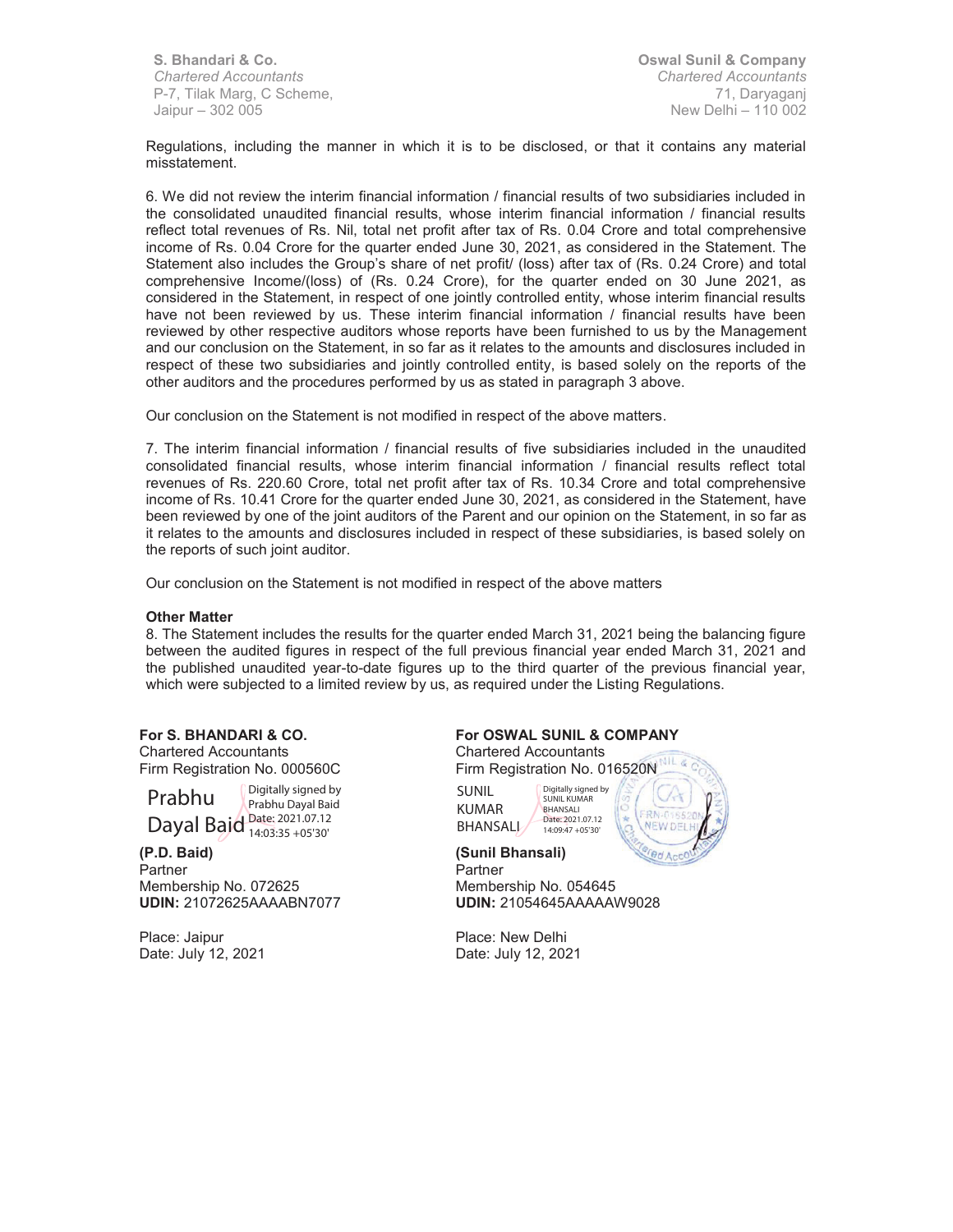**S. Bhandari & Co.**  *Chartered Accountants* P-7, Tilak Marg, C Scheme, Jaipur – 302 005

**Oswal Sunil & Company**  *Chartered Accountants*  71, Daryaganj New Delhi – 110 002

Regulations, including the manner in which it is to be disclosed, or that it contains any material misstatement.

6. We did not review the interim financial information / financial results of two subsidiaries included in the consolidated unaudited financial results, whose interim financial information / financial results reflect total revenues of Rs. Nil, total net profit after tax of Rs. 0.04 Crore and total comprehensive income of Rs. 0.04 Crore for the quarter ended June 30, 2021, as considered in the Statement. The Statement also includes the Group's share of net profit/ (loss) after tax of (Rs. 0.24 Crore) and total comprehensive Income/(loss) of (Rs. 0.24 Crore), for the quarter ended on 30 June 2021, as considered in the Statement, in respect of one jointly controlled entity, whose interim financial results have not been reviewed by us. These interim financial information / financial results have been reviewed by other respective auditors whose reports have been furnished to us by the Management and our conclusion on the Statement, in so far as it relates to the amounts and disclosures included in respect of these two subsidiaries and jointly controlled entity, is based solely on the reports of the other auditors and the procedures performed by us as stated in paragraph 3 above.

Our conclusion on the Statement is not modified in respect of the above matters.

7. The interim financial information / financial results of five subsidiaries included in the unaudited consolidated financial results, whose interim financial information / financial results reflect total revenues of Rs. 220.60 Crore, total net profit after tax of Rs. 10.34 Crore and total comprehensive income of Rs. 10.41 Crore for the quarter ended June 30, 2021, as considered in the Statement, have been reviewed by one of the joint auditors of the Parent and our opinion on the Statement, in so far as it relates to the amounts and disclosures included in respect of these subsidiaries, is based solely on the reports of such joint auditor.

Our conclusion on the Statement is not modified in respect of the above matters

#### **Other Matter**

8. The Statement includes the results for the quarter ended March 31, 2021 being the balancing figure between the audited figures in respect of the full previous financial year ended March 31, 2021 and the published unaudited year-to-date figures up to the third quarter of the previous financial year, which were subjected to a limited review by us, as required under the Listing Regulations.

#### **For S. BHANDARI & CO.**

Chartered Accountants Firm Registration No. 000560C

Prabhu Dayal Bajd Date: 2021.07.12 Digitally signed by Prabhu Dayal Baid 14:03:35 +05'30'

**(P.D. Baid)** Partner Membership No. 072625 **UDIN:** 21072625AAAABN7077

Place: Jaipur Date: July 12, 2021

#### **For OSWAL SUNIL & COMPANY**  Chartered Accountants

Firm Registration No. 016520N SUNIL Digitally signed by

KUMAR **BHANSALI** SUNIL KUMAR **BHANSALI** Date: 2021.07.12 14:09:47 +05'30'

**(Sunil Bhansali)**  Partner Membership No. 054645 **UDIN:** 21054645AAAAAW9028

Place: New Delhi Date: July 12, 2021

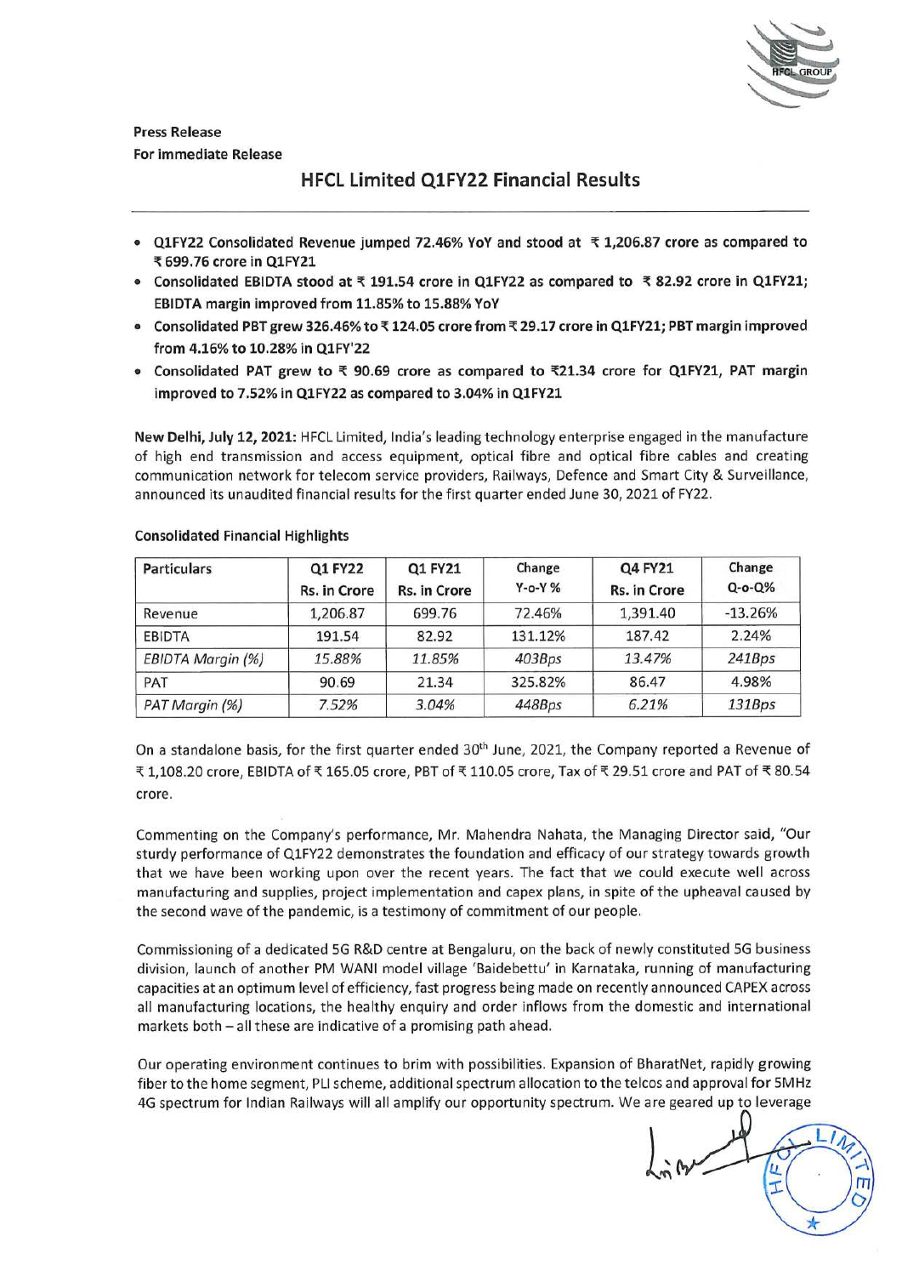

**Press Release For immediate Release** 

# **HFCL Limited Q1FY22 Financial Results**

- **Q1FY22 Consolidated Revenue jumped 72.46% YoY and stood at** ~ **1,206.87 crore as compared to**  <sup>~</sup>**699. 76 crore in Q1FY21**
- Consolidated EBIDTA stood at ₹ 191.54 crore in Q1FY22 as compared to ₹ 82.92 crore in Q1FY21; **EBIDTA margin improved from 11.85% to 15.88% YoY**
- Consolidated PBT grew 326.46% to ₹124.05 crore from ₹29.17 crore in Q1FY21; PBT margin improved **from 4.16% to 10.28% in Q1FY'22**
- Consolidated PAT grew to ₹ 90.69 crore as compared to ₹21.34 crore for Q1FY21, PAT margin **improved to 7 .52% in Q1FY22 as compared to 3.04% in Q1FY21**

**New Delhi, July 12, 2021:** HFCL Limited, India's leading technology enterprise engaged in the manufacture of high end transmission and access equipment, optical fibre and optical fibre cables and creating communication network for telecom service providers, Railways, Defence and Smart City & Surveillance, announced its unaudited financial results for the first quarter ended June 30, 2021 of FY22.

| <b>Particulars</b>       | Q1 FY22<br>Rs. in Crore | Q1 FY21<br>Rs. in Crore | Change<br>$Y$ -o- $Y%$ | Q4 FY21<br>Rs. in Crore | Change<br>$Q$ -o- $Q$ % |
|--------------------------|-------------------------|-------------------------|------------------------|-------------------------|-------------------------|
| Revenue                  | 1,206.87                | 699.76                  | 72.46%                 | 1.391.40                | $-13.26%$               |
| <b>EBIDTA</b>            | 191.54                  | 82.92                   | 131.12%                | 187.42                  | 2.24%                   |
| <b>EBIDTA Margin (%)</b> | 15.88%                  | 11.85%                  | 403Bps                 | 13.47%                  | 241B <sub>DS</sub>      |
| PAT                      | 90.69                   | 21.34                   | 325.82%                | 86.47                   | 4.98%                   |
| PAT Margin (%)           | 7.52%                   | 3.04%                   | 448Bps                 | 6.21%                   | 131Bps                  |

# **Consolidated Financial Highlights**

On a standalone basis, for the first quarter ended 30<sup>th</sup> June, 2021, the Company reported a Revenue of ₹ 1,108.20 crore, EBIDTA of ₹ 165.05 crore, PBT of ₹ 110.05 crore, Tax of ₹ 29.51 crore and PAT of ₹ 80.54 crore.

Commenting on the Company's performance, Mr. Mahendra Nahata, the Managing Director said, "Our sturdy performance of Q1FY22 demonstrates the foundation and efficacy of our strategy towards growth that we have been working upon over the recent years. The fact that we could execute well across manufacturing and supplies, project implementation and capex plans, in spite of the upheaval caused by the second wave of the pandemic, is a testimony of commitment of our people.

Commissioning of a dedicated 5G R&D centre at Bengaluru, on the back of newly constituted 5G business division, launch of another PM WANI model village 'Baidebettu' in Karnataka, running of manufacturing capacities at an optimum level of efficiency, fast progress being made on recently announced CAPEX across all manufacturing locations, the healthy enquiry and order inflows from the domestic and international markets both  $-$  all these are indicative of a promising path ahead.

Our operating environment continues to brim with possibilities. Expansion of BharatNet, rapidly growing fiber to the home segment, PLI scheme, additional spectrum allocation to the telcos and approval for 5MHz 4G spectrum for Indian Railways will all amplify our opportunity spectrum. We are geared up to leverage

 $\int_{\mathfrak{m}}$  by LL.